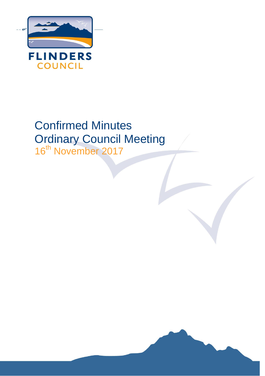

# Confirmed Minutes Ordinary Council Meeting

16<sup>th</sup> November 2017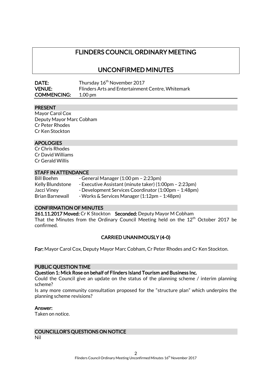# FLINDERS COUNCIL ORDINARY MEETING

## UNCONFIRMED MINUTES

| <b>DATE:</b>       | Thursday 16 <sup>th</sup> November 2017           |
|--------------------|---------------------------------------------------|
| <b>VENUE:</b>      | Flinders Arts and Entertainment Centre, Whitemark |
| <b>COMMENCING:</b> | $1.00 \,\mathrm{pm}$                              |

#### PRESENT

Mayor Carol Cox Deputy Mayor Marc Cobham Cr Peter Rhodes Cr Ken Stockton

#### APOLOGIES

Cr Chris Rhodes Cr David Williams Cr Gerald Willis

#### STAFF IN ATTENDANCE

| Bill Boehm             | - General Manager $(1:00 \text{ pm} - 2:23 \text{ pm})$ |
|------------------------|---------------------------------------------------------|
| Kelly Blundstone       | - Executive Assistant (minute taker) (1:00pm - 2:23pm)  |
| Jacci Viney            | - Development Services Coordinator (1:00pm - 1:48pm)    |
| <b>Brian Barnewall</b> | - Works & Services Manager (1:12pm - 1:48pm)            |

#### CONFIRMATION OF MINUTES

261.11.2017 Moved: Cr K Stockton Seconded: Deputy Mayor M Cobham That the Minutes from the Ordinary Council Meeting held on the  $12<sup>th</sup>$  October 2017 be confirmed.

#### CARRIED UNANIMOUSLY (4-0)

For: Mayor Carol Cox, Deputy Mayor Marc Cobham, Cr Peter Rhodes and Cr Ken Stockton.

## PUBLIC QUESTION TIME

Question 1: Mick Rose on behalf of Flinders Island Tourism and Business Inc.

Could the Council give an update on the status of the planning scheme / interim planning scheme?

Is any more community consultation proposed for the "structure plan" which underpins the planning scheme revisions?

#### Answer:

Taken on notice.

## COUNCILLOR'S QUESTIONS ON NOTICE

Nil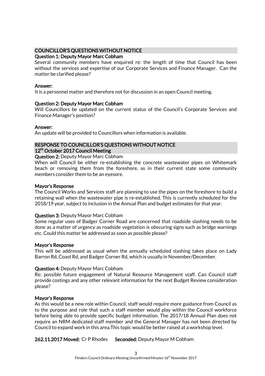#### COUNCILLOR'S QUESTIONS WITHOUT NOTICE

#### Question 1: Deputy Mayor Marc Cobham

Several community members have enquired re: the length of time that Council has been without the services and expertise of our Corporate Services and Finance Manager. Can the matter be clarified please?

#### Answer:

It is a personnel matter and therefore not for discussion in an open Council meeting.

#### Question 2: Deputy Mayor Marc Cobham

Will Councillors be updated on the current status of the Council's Corporate Services and Finance Manager's position?

#### Answer:

An update will be provided to Councillors when information is available.

#### RESPONSE TO COUNCILLOR'S QUESTIONS WITHOUT NOTICE 12<sup>th</sup> October 2017 Council Meeting

#### Question 2: Deputy Mayor Marc Cobham

When will Council be either re-establishing the concrete wastewater pipes on Whitemark beach or removing them from the foreshore, as in their current state some community members consider them to be an eyesore.

#### Mayor's Response

The Council Works and Services staff are planning to use the pipes on the foreshore to build a retaining wall when the wastewater pipe is re-established. This is currently scheduled for the 2018/19 year, subject to inclusion in the Annual Plan and budget estimates for that year.

## Question 3: Deputy Mayor Marc Cobham

Some regular uses of Badger Corner Road are concerned that roadside slashing needs to be done as a matter of urgency as roadside vegetation is obscuring signs such as bridge warnings etc. Could this matter be addressed as soon as possible please?

#### Mayor's Response

This will be addressed as usual when the annually scheduled slashing takes place on Lady Barron Rd, Coast Rd, and Badger Corner Rd, which is usually in November/December.

#### Question 4: Deputy Mayor Marc Cobham

Re: possible future engagement of Natural Resource Management staff. Can Council staff provide costings and any other relevant information for the next Budget Review consideration please?

#### Mayor's Response

As this would be a new role within Council, staff would require more guidance from Council as to the purpose and role that such a staff member would play within the Council workforce before being able to provide specific budget information. The 2017/18 Annual Plan does not require an NRM dedicated staff member and the General Manager has not been directed by Council to expand work in this area.This topic would be better raised at a workshop level.

262.11.2017 Moved: Cr P Rhodes Seconded: Deputy Mayor M Cobham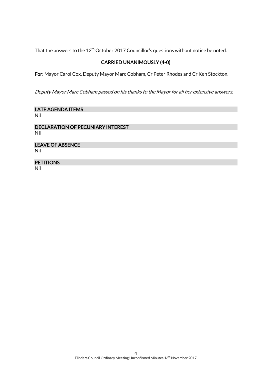That the answers to the  $12^{th}$  October 2017 Councillor's questions without notice be noted.

## CARRIED UNANIMOUSLY (4-0)

For: Mayor Carol Cox, Deputy Mayor Marc Cobham, Cr Peter Rhodes and Cr Ken Stockton.

Deputy Mayor Marc Cobham passed on his thanks to the Mayor for all her extensive answers.

LATE AGENDA ITEMS Nil

DECLARATION OF PECUNIARY INTEREST Nil

LEAVE OF ABSENCE Nil

# **PETITIONS**

Nil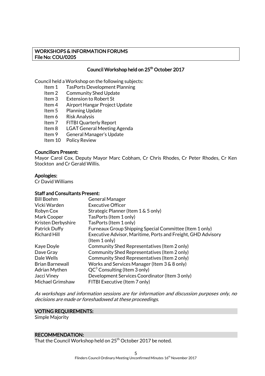#### WORKSHOPS & INFORMATION FORUMS File No: COU/0205

## Council Workshop held on 25<sup>th</sup> October 2017

Council held a Workshop on the following subjects:

- Item 1 TasPorts Development Planning
- Item 2 Community Shed Update
- Item 3 Extension to Robert St
- Item 4 Airport Hangar Project Update
- Item 5 Planning Update
- Item 6 Risk Analysis<br>Item 7 FITBI Quarte
	- **FITBI Quarterly Report**
- Item 8 LGAT General Meeting Agenda
- Item 9 General Manager's Update
- Item 10 Policy Review

#### Councillors Present:

Mayor Carol Cox, Deputy Mayor Marc Cobham, Cr Chris Rhodes, Cr Peter Rhodes, Cr Ken Stockton and Cr Gerald Willis.

#### Apologies:

Cr David Williams

#### Staff and Consultants Present:

| <b>Bill Boehm</b>      | <b>General Manager</b>                                       |
|------------------------|--------------------------------------------------------------|
| Vicki Warden           | <b>Executive Officer</b>                                     |
| Robyn Cox              | Strategic Planner (Item 1 & 5 only)                          |
| Mark Cooper            | TasPorts (Item 1 only)                                       |
| Kristen Derbyshire     | TasPorts (Item 1 only)                                       |
| <b>Patrick Duffy</b>   | Furneaux Group Shipping Special Committee (Item 1 only)      |
| <b>Richard Hill</b>    | Executive Advisor, Maritime, Ports and Freight, GHD Advisory |
|                        | (Item 1 only)                                                |
| Kaye Doyle             | Community Shed Representatives (Item 2 only)                 |
| Dave Gray              | Community Shed Representatives (Item 2 only)                 |
| Dale Wells             | Community Shed Representatives (Item 2 only)                 |
| <b>Brian Barnewall</b> | Works and Services Manager (Item 3 & 8 only)                 |
| <b>Adrian Mythen</b>   | $QC^3$ Consulting (Item 3 only)                              |
| Jacci Viney            | Development Services Coordinator (Item 3 only)               |
| Michael Grimshaw       | FITBI Executive (Item 7 only)                                |

As workshops and information sessions are for information and discussion purposes only, no decisions are made or foreshadowed at these proceedings.

#### VOTING REQUIREMENTS:

Simple Majority

#### RECOMMENDATION:

That the Council Workshop held on 25<sup>th</sup> October 2017 be noted.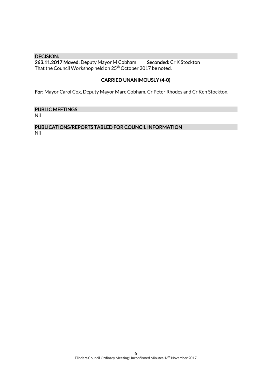DECISION: 263.11.2017 Moved: Deputy Mayor M Cobham Seconded: Cr K Stockton That the Council Workshop held on 25<sup>th</sup> October 2017 be noted.

## CARRIED UNANIMOUSLY (4-0)

For: Mayor Carol Cox, Deputy Mayor Marc Cobham, Cr Peter Rhodes and Cr Ken Stockton.

## PUBLIC MEETINGS

Nil

# PUBLICATIONS/REPORTS TABLED FOR COUNCIL INFORMATION

Nil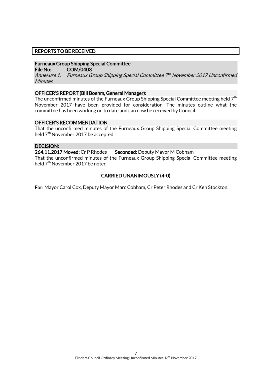#### REPORTS TO BE RECEIVED

#### Furneaux Group Shipping Special Committee

File No: COM/0403

Annexure 1: Furneaux Group Shipping Special Committee 7th November 2017 Unconfirmed **Minutes** 

#### OFFICER'S REPORT (Bill Boehm, General Manager):

The unconfirmed minutes of the Furneaux Group Shipping Special Committee meeting held  $7<sup>th</sup>$ November 2017 have been provided for consideration. The minutes outline what the committee has been working on to date and can now be received by Council.

#### OFFICER'S RECOMMENDATION

That the unconfirmed minutes of the Furneaux Group Shipping Special Committee meeting held 7<sup>th</sup> November 2017 be accepted.

#### DECISION:

264.11.2017 Moved: Cr P Rhodes Seconded: Deputy Mayor M Cobham That the unconfirmed minutes of the Furneaux Group Shipping Special Committee meeting held 7<sup>th</sup> November 2017 be noted.

#### CARRIED UNANIMOUSLY (4-0)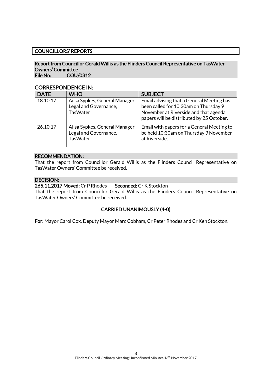## COUNCILLORS' REPORTS

#### Report from Councillor Gerald Willis as the Flinders Council Representative on TasWater Owners' Committee File No: COU/0312

CORRESPONDENCE IN:

| <b>DATE</b> | <b>WHO</b>                                                                | <b>SUBJECT</b>                                                                                                                                                           |
|-------------|---------------------------------------------------------------------------|--------------------------------------------------------------------------------------------------------------------------------------------------------------------------|
| 18.10.17    | Ailsa Sypkes, General Manager<br>Legal and Governance,<br><b>TasWater</b> | Email advising that a General Meeting has<br>been called for 10:30am on Thursday 9<br>November at Riverside and that agenda<br>papers will be distributed by 25 October. |
| 26.10.17    | Ailsa Sypkes, General Manager<br>Legal and Governance,<br><b>TasWater</b> | Email with papers for a General Meeting to<br>be held 10:30am on Thursday 9 November<br>at Riverside.                                                                    |

#### RECOMMENDATION:

That the report from Councillor Gerald Willis as the Flinders Council Representative on TasWater Owners' Committee be received.

#### DECISION:

265.11.2017 Moved: Cr P Rhodes Seconded: Cr K Stockton

That the report from Councillor Gerald Willis as the Flinders Council Representative on TasWater Owners' Committee be received.

#### CARRIED UNANIMOUSLY (4-0)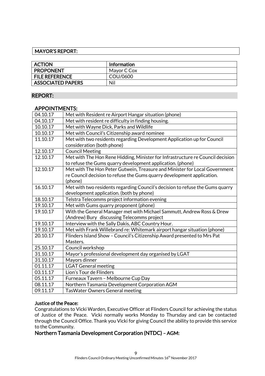## MAYOR'S REPORT:

| <b>ACTION</b>            | <b>Information</b> |
|--------------------------|--------------------|
| <b>PROPONENT</b>         | Mayor C Cox        |
| <b>FILE REFERENCE</b>    | COU/0600           |
| <b>ASSOCIATED PAPERS</b> | Nil                |

#### REPORT:

#### APPOINTMENTS:

| 04.10.17 | Met with Resident re Airport Hangar situation (phone)                          |
|----------|--------------------------------------------------------------------------------|
| 04.10.17 | Met with resident re difficulty in finding housing.                            |
| 10.10.17 | Met with Wayne Dick, Parks and Wildlife                                        |
| 10.10.17 | Met with Council's Citizenship award nominee                                   |
| 11.10.17 | Met with two residents regarding Development Application up for Council        |
|          | consideration (both phone)                                                     |
| 12.10.17 | <b>Council Meeting</b>                                                         |
| 12.10.17 | Met with The Hon Rene Hidding, Minister for Infrastructure re Council decision |
|          | to refuse the Gums quarry development application. (phone)                     |
| 12.10.17 | Met with The Hon Peter Gutwein, Treasure and Minister for Local Government     |
|          | re Council decision to refuse the Gums quarry development application.         |
|          | (phone)                                                                        |
| 16.10.17 | Met with two residents regarding Council's decision to refuse the Gums quarry  |
|          | development application. (both by phone)                                       |
| 18.10.17 | Telstra Telecomms project information evening                                  |
| 19.10.17 | Met with Gums quarry proponent (phone)                                         |
| 19.10.17 | With the General Manager met with Michael Sammutt, Andrew Ross & Drew          |
|          | (Andrew) Bury discussing Telecomms project                                     |
| 19.10.17 | Interview with the Sally Dakis, ABC Country Hour.                              |
| 19.10.17 | Met with Frank Willebrand re: Whitemark airport hangar situation (phone)       |
| 20.10.17 | Flinders Island Show - Council's Citizenship Award presented to Mrs Pat        |
|          | Masters.                                                                       |
| 25.10.17 | Council workshop                                                               |
| 31.10.17 | Mayor's professional development day organised by LGAT                         |
| 31.10.17 | Mayors dinner                                                                  |
| 01.11.17 | <b>LGAT General meeting</b>                                                    |
| 03.11.17 | Lion's Tour de Flinders                                                        |
| 05.11.17 | Furneaux Tavern - Melbourne Cup Day                                            |
| 08.11.17 | Northern Tasmania Development Corporation AGM                                  |
| 09.11.17 | <b>TasWater Owners General meeting</b>                                         |

#### Justice of the Peace:

Congratulations to Vicki Warden, Executive Officer at Flinders Council for achieving the status of Justice of the Peace. Vicki normally works Monday to Thursday and can be contacted through the Council Office. Thank you Vicki for giving Council the ability to provide this service to the Community.

## Northern Tasmania Development Corporation (NTDC) – AGM: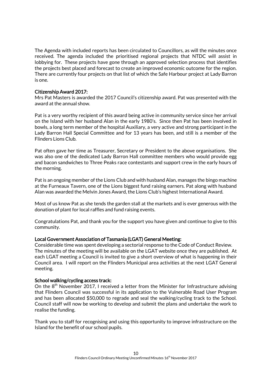The Agenda with included reports has been circulated to Councillors, as will the minutes once received. The agenda included the prioritised regional projects that NTDC will assist in lobbying for. These projects have gone through an approved selection process that identifies the projects best placed and forecast to create an improved economic outcome for the region. There are currently four projects on that list of which the Safe Harbour project at Lady Barron is one.

#### Citizenship Award 2017:

Mrs Pat Masters is awarded the 2017 Council's citizenship award. Pat was presented with the award at the annual show.

Pat is a very worthy recipient of this award being active in community service since her arrival on the Island with her husband Alan in the early 1980's. Since then Pat has been involved in bowls, a long term member of the hospital Auxiliary, a very active and strong participant in the Lady Barron Hall Special Committee and for 13 years has been, and still is a member of the Flinders Lions Club.

Pat often gave her time as Treasurer, Secretary or President to the above organisations. She was also one of the dedicated Lady Barron Hall committee members who would provide egg and bacon sandwiches to Three Peaks race contestants and support crew in the early hours of the morning.

Pat is an ongoing member of the Lions Club and with husband Alan, manages the bingo machine at the Furneaux Tavern, one of the Lions biggest fund raising earners. Pat along with husband Alan was awarded the Melvin Jones Award, the Lions Club's highest International Award.

Most of us know Pat as she tends the garden stall at the markets and is ever generous with the donation of plant for local raffles and fund raising events.

Congratulations Pat, and thank you for the support you have given and continue to give to this community.

#### Local Government Association of Tasmania (LGAT) General Meeting:

Considerable time was spent developing a sectorial response to the Code of Conduct Review. The minutes of the meeting will be available on the LGAT website once they are published. At each LGAT meeting a Council is invited to give a short overview of what is happening in their Council area. I will report on the Flinders Municipal area activities at the next LGAT General meeting.

#### School walking/cycling access track:

On the  $8<sup>th</sup>$  November 2017, I received a letter from the Minister for Infrastructure advising that Flinders Council was successful in its application to the Vulnerable Road User Program and has been allocated \$50,000 to regrade and seal the walking/cycling track to the School. Council staff will now be working to develop and submit the plans and undertake the work to realise the funding.

Thank you to staff for recognising and using this opportunity to improve infrastructure on the Island for the benefit of our school pupils.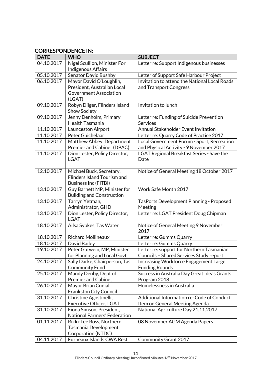## CORRESPONDENCE IN:

| <b>DATE</b> | <b>WHO</b>                         | <b>SUBJECT</b>                                   |
|-------------|------------------------------------|--------------------------------------------------|
| 04.10.2017  | Nigel Scullion, Minister For       | Letter re: Support Indigenous businesses         |
|             | Indigenous Affairs                 |                                                  |
| 05.10.2017  | Senator David Bushby               | Letter of Support Safe Harbour Project           |
| 06.10.2017  | Mayor David O'Loughlin,            | Invitation to attend the National Local Roads    |
|             | President, Australian Local        | and Transport Congress                           |
|             | <b>Government Association</b>      |                                                  |
|             | (LGAT)                             |                                                  |
| 09.10.2017  | Robyn Dilger, Flinders Island      | Invitation to lunch                              |
|             | <b>Show Society</b>                |                                                  |
| 09.10.2017  | Jenny Denholm, Primary             | Letter re: Funding of Suicide Prevention         |
|             | Health Tasmania                    | Services                                         |
| 11.10.2017  | Launceston Airport                 | Annual Stakeholder Event Invitation              |
| 11.10.2017  | Peter Guichelaar                   | Letter re: Quarry Code of Practice 2017          |
| 11.10.2017  | Matthew Abbey, Department          | Local Government Forum - Sport, Recreation       |
|             | Premier and Cabinet (DPAC)         | and Physical Activity - 9 November 2017          |
| 11.10.2017  | Dion Lester, Policy Director,      | <b>LGAT Regional Breakfast Series - Save the</b> |
|             | <b>LGAT</b>                        | Date                                             |
|             |                                    |                                                  |
| 12.10.2017  | Michael Buck, Secretary,           | Notice of General Meeting 18 October 2017        |
|             | <b>Flinders Island Tourism and</b> |                                                  |
|             | <b>Business Inc (FITBI)</b>        |                                                  |
| 13.10.2017  | Guy Barnett MP, Minister for       | Work Safe Month 2017                             |
|             | <b>Building and Construction</b>   |                                                  |
| 13.10.2017  | Tarryn Yetman,                     | TasPorts Development Planning - Proposed         |
|             | Administrator, GHD                 | Meeting                                          |
| 13.10.2017  | Dion Lester, Policy Director,      | Letter re: LGAT President Doug Chipman           |
|             | <b>LGAT</b>                        |                                                  |
| 18.10.2017  | Ailsa Sypkes, Tas Water            | Notice of General Meeting 9 November             |
|             |                                    | 2017                                             |
| 18.10.2017  | <b>Richard Mollineaux</b>          | Letter re: Gumms Quarry                          |
| 18.10.2017  | David Bailey                       | Letter re: Gumms Quarry                          |
| 19.10.2017  | Peter Gutwein, MP, Minister        | Letter re: support for Northern Tasmanian        |
|             | for Planning and Local Govt        | Councils - Shared Services Study report          |
| 24.10.2017  | Sally Darke, Chairperson, Tas      | Increasing Workforce Engagement Large            |
|             | <b>Community Fund</b>              | <b>Funding Rounds</b>                            |
| 25.10.2017  | Mandy Denby, Dept of               | Success in Australia Day Great Ideas Grants      |
|             | <b>Premier and Cabinet</b>         | Program 2018                                     |
| 26.10.2017  | Mayor Brian Cunial,                | Homelessness in Australia                        |
|             | <b>Frankston City Council</b>      |                                                  |
| 31.10.2017  | Christine Agostinelli,             | Additional Information re: Code of Conduct       |
|             | <b>Executive Officer, LGAT</b>     | Item on General Meeting Agenda                   |
| 31.10.2017  | Fiona Simson, President,           | National Agriculture Day 21.11.2017              |
|             | National Farmers' Federation       |                                                  |
| 01.11.2017  | Rikki-Lee Ross, Northern           | 08 November AGM Agenda Papers                    |
|             | Tasmania Development               |                                                  |
|             | Corporation (NTDC)                 |                                                  |
| 04.11.2017  | Furneaux Islands CWA Rest          | Community Grant 2017                             |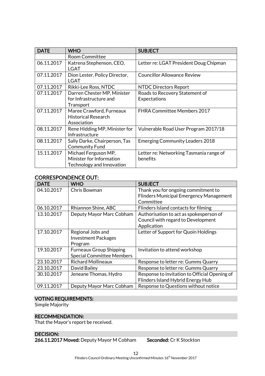| <b>DATE</b> | WHO                                                                           | <b>SUBJECT</b>                                      |
|-------------|-------------------------------------------------------------------------------|-----------------------------------------------------|
|             | <b>Room Committee</b>                                                         |                                                     |
| 06.11.2017  | Katrena Stephenson, CEO,<br>LGAT                                              | Letter re: LGAT President Doug Chipman              |
| 07.11.2017  | Dion Lester, Policy Director,<br><b>LGAT</b>                                  | <b>Councillor Allowance Review</b>                  |
| 07.11.2017  | Rikki-Lee Ross, NTDC                                                          | <b>NTDC Directors Report</b>                        |
| 07.11.2017  | Darren Chester MP, Minister<br>for Infrastructure and<br>Transport            | Roads to Recovery Statement of<br>Expectations      |
| 07.11.2017  | Maree Crawford, Furneaux<br><b>Historical Research</b><br>Association         | <b>FHRA Committee Members 2017</b>                  |
| 08.11.2017  | Rene Hidding MP, Minister for<br>Infrastructure                               | Vulnerable Road User Program 2017/18                |
| 08.11.2017  | Sally Darke, Chairperson, Tas<br><b>Community Fund</b>                        | <b>Emerging Community Leaders 2018</b>              |
| 15.11.2017  | Michael Ferguson MP,<br>Minister for Information<br>Technology and Innovation | Letter re: Networking Tasmania range of<br>benefits |

## CORRESPONDENCE OUT:

| <b>DATE</b> | <b>WHO</b>                       | <b>SUBJECT</b>                                 |
|-------------|----------------------------------|------------------------------------------------|
| 04.10.2017  | Chris Bowman                     | Thank you for ongoing commitment to            |
|             |                                  | <b>Flinders Municipal Emergency Management</b> |
|             |                                  | Committee                                      |
| 06.10.2017  | Rhiannon Shine, ABC              | Flinders Island contacts for filming           |
| 13.10.2017  | Deputy Mayor Marc Cobham         | Authorisation to act as spokesperson of        |
|             |                                  | Council with regard to Development             |
|             |                                  | Application                                    |
| 17.10.2017  | Regional Jobs and                | Letter of Support for Quoin Holdings           |
|             | <b>Investment Packages</b>       |                                                |
|             | Program                          |                                                |
| 19.10.2017  | <b>Furneaux Group Shipping</b>   | Invitation to attend workshop                  |
|             | <b>Special Committee Members</b> |                                                |
| 23.10.2017  | <b>Richard Mollineaux</b>        | Response to letter re: Gumms Quarry            |
| 23.10.2017  | David Bailey                     | Response to letter re: Gumms Quarry            |
| 30.10.2017  | Jeneane Thomas, Hydro            | Response to invitation to Official Opening of  |
|             |                                  | Flinders Island Hybrid Energy Hub              |
| 09.11.2017  | Deputy Mayor Marc Cobham         | Response to Questions without notice           |

## VOTING REQUIREMENTS:

Simple Majority

## RECOMMENDATION:

That the Mayor's report be received.

#### DECISION:

266.11.2017 Moved: Deputy Mayor M Cobham Seconded: Cr K Stockton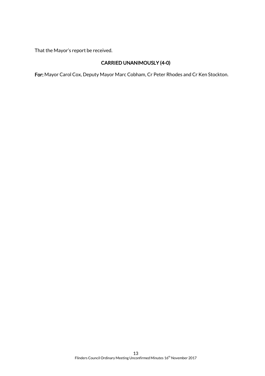That the Mayor's report be received.

## CARRIED UNANIMOUSLY (4-0)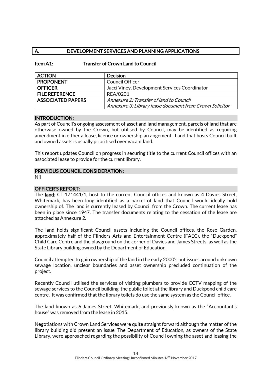## A. DEVELOPMENT SERVICES AND PLANNING APPLICATIONS

#### Item A1: Transfer of Crown Land to Council

| <b>ACTION</b>            | <b>Decision</b>                                         |
|--------------------------|---------------------------------------------------------|
| <b>PROPONENT</b>         | <b>Council Officer</b>                                  |
| <b>OFFICER</b>           | Jacci Viney, Development Services Coordinator           |
| <b>FILE REFERENCE</b>    | <b>REA/0201</b>                                         |
| <b>ASSOCIATED PAPERS</b> | Annexure 2: Transfer of land to Council                 |
|                          | Annexure 3: Library lease document from Crown Solicitor |

#### INTRODUCTION:

As part of Council's ongoing assessment of asset and land management, parcels of land that are otherwise owned by the Crown, but utilised by Council, may be identified as requiring amendment in either a lease, licence or ownership arrangement. Land that hosts Council built and owned assets is usually prioritised over vacant land.

This report updates Council on progress in securing title to the current Council offices with an associated lease to provide for the current library.

#### PREVIOUS COUNCIL CONSIDERATION:

Nil

#### OFFICER'S REPORT:

The land; CT:171441/1, host to the current Council offices and known as 4 Davies Street, Whitemark, has been long identified as a parcel of land that Council would ideally hold ownership of. The land is currently leased by Council from the Crown. The current lease has been in place since 1947. The transfer documents relating to the cessation of the lease are attached as Annexure 2.

The land holds significant Council assets including the Council offices, the Rose Garden, approximately half of the Flinders Arts and Entertainment Centre (FAEC), the "Duckpond" Child Care Centre and the playground on the corner of Davies and James Streets, as well as the State Library building owned by the Department of Education.

Council attempted to gain ownership of the land in the early 2000's but issues around unknown sewage location, unclear boundaries and asset ownership precluded continuation of the project.

Recently Council utilised the services of visiting plumbers to provide CCTV mapping of the sewage services to the Council building, the public toilet at the library and Duckpond child care centre. It was confirmed that the library toilets do use the same system as the Council office.

The land known as 6 James Street, Whitemark, and previously known as the "Accountant's house" was removed from the lease in 2015.

Negotiations with Crown Land Services were quite straight forward although the matter of the library building did present an issue. The Department of Education, as owners of the State Library, were approached regarding the possibility of Council owning the asset and leasing the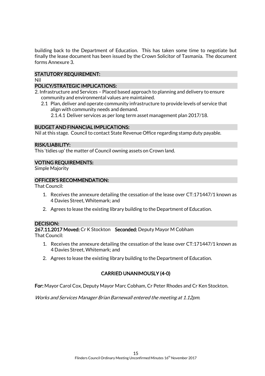building back to the Department of Education. This has taken some time to negotiate but finally the lease document has been issued by the Crown Solicitor of Tasmania. The document forms Annexure 3.

## STATUTORY REQUIREMENT:

#### Nil

## POLICY/STRATEGIC IMPLICATIONS:

- 2. Infrastructure and Services Placed based approach to planning and delivery to ensure community and environmental values are maintained.
	- 2.1 Plan, deliver and operate community infrastructure to provide levels of service that align with community needs and demand.

2.1.4.1 Deliver services as per long term asset management plan 2017/18.

## BUDGET AND FINANCIAL IMPLICATIONS:

Nil at this stage. Council to contact State Revenue Office regarding stamp duty payable.

#### RISK/LIABILITY:

This 'tidies up' the matter of Council owning assets on Crown land.

## VOTING REQUIREMENTS:

Simple Majority

#### OFFICER'S RECOMMENDATION:

That Council:

- 1. Receives the annexure detailing the cessation of the lease over CT:171447/1 known as 4 Davies Street, Whitemark; and
- 2. Agrees to lease the existing library building to the Department of Education.

#### DECISION:

267.11.2017 Moved: Cr K Stockton Seconded: Deputy Mayor M Cobham That Council:

- 1. Receives the annexure detailing the cessation of the lease over CT:171447/1 known as 4 Davies Street, Whitemark; and
- 2. Agrees to lease the existing library building to the Department of Education.

## CARRIED UNANIMOUSLY (4-0)

For: Mayor Carol Cox, Deputy Mayor Marc Cobham, Cr Peter Rhodes and Cr Ken Stockton.

Works and Services Manager Brian Barnewall entered the meeting at 1.12pm.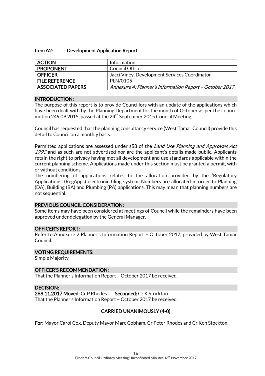#### Item A2: Development Application Report

| <b>ACTION</b>            | Information                                             |
|--------------------------|---------------------------------------------------------|
| <b>PROPONENT</b>         | Council Officer                                         |
| <b>OFFICER</b>           | Jacci Viney, Development Services Coordinator           |
| <b>FILE REFERENCE</b>    | PLN/0105                                                |
| <b>ASSOCIATED PAPERS</b> | Annexure 4: Planner's Information Report - October 2017 |

#### INTRODUCTION:

The purpose of this report is to provide Councillors with an update of the applications which have been dealt with by the Planning Department for the month of October as per the council motion 249.09.2015, passed at the  $24^{th}$  September 2015 Council Meeting.

Council has requested that the planning consultancy service (West Tamar Council) provide this detail to Council on a monthly basis.

Permitted applications are assessed under s58 of the *Land Use Planning and Approvals Act* 1993 and as such are not advertised nor are the applicant's details made public. Applicants retain the right to privacy having met all development and use standards applicable within the current planning scheme. Applications made under this section must be granted a permit, with or without conditions.

The numbering of applications relates to the allocation provided by the 'Regulatory Applications' (RegApps) electronic filing system. Numbers are allocated in order to Planning (DA), Building (BA) and Plumbing (PA) applications. This may mean that planning numbers are not sequential.

#### PREVIOUS COUNCIL CONSIDERATION:

Some items may have been considered at meetings of Council while the remainders have been approved under delegation by the General Manager.

#### OFFICER'S REPORT:

Refer to Annexure 2 Planner's Information Report – October 2017, provided by West Tamar Council.

#### VOTING REQUIREMENTS:

Simple Majority

#### OFFICER'S RECOMMENDATION:

That the Planner's Information Report – October 2017 be received.

#### DECISION:

268.11.2017 Moved: Cr P Rhodes Seconded: Cr K Stockton That the Planner's Information Report – October 2017 be received.

#### CARRIED UNANIMOUSLY (4-0)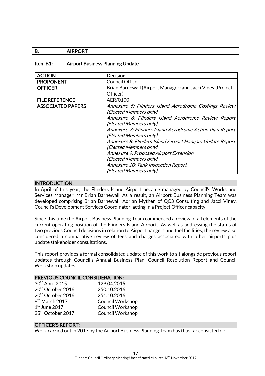## B. AIRPORT

#### Item B1: Airport Business Planning Update

| <b>ACTION</b>            | <b>Decision</b>                                            |
|--------------------------|------------------------------------------------------------|
| <b>PROPONENT</b>         | <b>Council Officer</b>                                     |
| <b>OFFICER</b>           | Brian Barnewall (Airport Manager) and Jacci Viney (Project |
|                          | Officer)                                                   |
| <b>FILE REFERENCE</b>    | AER/0100                                                   |
| <b>ASSOCIATED PAPERS</b> | Annexure 5: Flinders Island Aerodrome Costings Review      |
|                          | (Elected Members only)                                     |
|                          | Annexure 6: Flinders Island Aerodrome Review Report        |
|                          | (Elected Members only)                                     |
|                          | Annexure 7: Flinders Island Aerodrome Action Plan Report   |
|                          | (Elected Members only)                                     |
|                          | Annexure 8: Flinders Island Airport Hangars Update Report  |
|                          | (Elected Members only)                                     |
|                          | Annexure 9: Proposed Airport Extension                     |
|                          | (Elected Members only)                                     |
|                          | Annexure 10: Tank Inspection Report                        |
|                          | (Elected Members only)                                     |

#### INTRODUCTION:

In April of this year, the Flinders Island Airport became managed by Council's Works and Services Manager, Mr Brian Barnewall. As a result, an Airport Business Planning Team was developed comprising Brian Barnewall, Adrian Mythen of QC3 Consulting and Jacci Viney, Council's Development Services Coordinator, acting in a Project Officer capacity.

Since this time the Airport Business Planning Team commenced a review of all elements of the current operating position of the Flinders Island Airport. As well as addressing the status of two previous Council decisions in relation to Airport hangers and fuel facilities, the review also considered a comparative review of fees and charges associated with other airports plus update stakeholder consultations.

This report provides a formal consolidated update of this work to sit alongside previous report updates through Council's Annual Business Plan, Council Resolution Report and Council Workshop updates.

#### PREVIOUS COUNCIL CONSIDERATION:

| 30 <sup>th</sup> April 2015   | 129.04.2015             |
|-------------------------------|-------------------------|
| 20 <sup>th</sup> October 2016 | 250.10.2016             |
| 20 <sup>th</sup> October 2016 | 251.10.2016             |
| 9 <sup>th</sup> March 2017    | <b>Council Workshop</b> |
| $1st$ June 2017               | Council Workshop        |
| 25 <sup>th</sup> October 2017 | Council Workshop        |

#### OFFICER'S REPORT:

Work carried out in 2017 by the Airport Business Planning Team has thus far consisted of: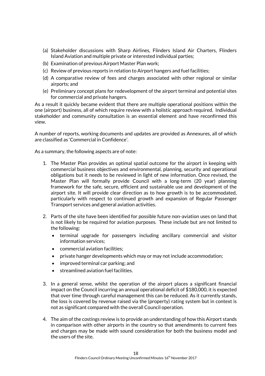- (a) Stakeholder discussions with Sharp Airlines, Flinders Island Air Charters, Flinders Island Aviation and multiple private or interested individual parties;
- (b) Examination of previous Airport Master Plan work;
- (c) Review of previous reports in relation to Airport hangers and fuel facilities;
- (d) A comparative review of fees and charges associated with other regional or similar airports; and
- (e) Preliminary concept plans for redevelopment of the airport terminal and potential sites for commercial and private hangers.

As a result it quickly became evident that there are multiple operational positions within the one (airport) business, all of which require review with a holistic approach required. Individual stakeholder and community consultation is an essential element and have reconfirmed this view.

A number of reports, working documents and updates are provided as Annexures, all of which are classified as 'Commercial in Confidence'.

As a summary, the following aspects are of note:

- 1. The Master Plan provides an optimal spatial outcome for the airport in keeping with commercial business objectives and environmental, planning, security and operational obligations but it needs to be reviewed in light of new information. Once revised, the Master Plan will formally provide Council with a long-term (20 year) planning framework for the safe, secure, efficient and sustainable use and development of the airport site. It will provide clear direction as to how growth is to be accommodated, particularly with respect to continued growth and expansion of Regular Passenger Transport services and general aviation activities.
- 2. Parts of the site have been identified for possible future non-aviation uses on land that is not likely to be required for aviation purposes. These include but are not limited to the following:
	- terminal upgrade for passengers including ancillary commercial and visitor information services;
	- commercial aviation facilities;
	- private hanger developments which may or may not include accommodation;
	- improved terminal car parking; and
	- streamlined aviation fuel facilities.
- 3. In a general sense, whilst the operation of the airport places a significant financial impact on the Council incurring an annual operational deficit of \$180,000, it is expected that over time through careful management this can be reduced. As it currently stands, the loss is covered by revenue raised via the (property) rating system but in context is not as significant compared with the overall Council operation.
- 4. The aim of the costings review is to provide an understanding of how this Airport stands in comparison with other airports in the country so that amendments to current fees and charges may be made with sound consideration for both the business model and the users of the site.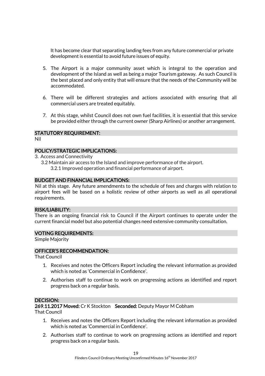It has become clear that separating landing fees from any future commercial or private development is essential to avoid future issues of equity.

- 5. The Airport is a major community asset which is integral to the operation and development of the Island as well as being a major Tourism gateway. As such Council is the best placed and only entity that will ensure that the needs of the Community will be accommodated.
- 6. There will be different strategies and actions associated with ensuring that all commercial users are treated equitably.
- 7. At this stage, whilst Council does not own fuel facilities, it is essential that this service be provided either through the current owner (Sharp Airlines) or another arrangement.

#### STATUTORY REQUIREMENT:

Nil

#### POLICY/STRATEGIC IMPLICATIONS:

3. Access and Connectivity

3.2 Maintain air access to the Island and improve performance of the airport. 3.2.1 Improved operation and financial performance of airport.

#### BUDGET AND FINANCIAL IMPLICATIONS:

Nil at this stage. Any future amendments to the schedule of fees and charges with relation to airport fees will be based on a holistic review of other airports as well as all operational requirements.

#### RISK/LIABILITY:

There is an ongoing financial risk to Council if the Airport continues to operate under the current financial model but also potential changes need extensive community consultation.

#### VOTING REQUIREMENTS:

Simple Majority

#### OFFICER'S RECOMMENDATION:

That Council

- 1. Receives and notes the Officers Report including the relevant information as provided which is noted as 'Commercial in Confidence'.
- 2. Authorises staff to continue to work on progressing actions as identified and report progress back on a regular basis.

#### DECISION:

269.11.2017 Moved: Cr K Stockton Seconded: Deputy Mayor M Cobham

That Council

- 1. Receives and notes the Officers Report including the relevant information as provided which is noted as 'Commercial in Confidence'.
- 2. Authorises staff to continue to work on progressing actions as identified and report progress back on a regular basis.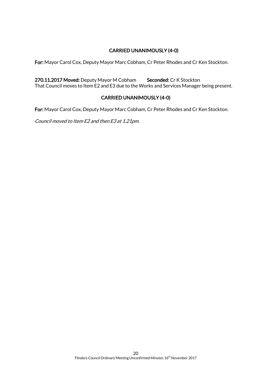## CARRIED UNANIMOUSLY (4-0)

For: Mayor Carol Cox, Deputy Mayor Marc Cobham, Cr Peter Rhodes and Cr Ken Stockton.

270.11.2017 Moved: Deputy Mayor M Cobham Seconded: Cr K Stockton That Council moves to Item E2 and E3 due to the Works and Services Manager being present.

## CARRIED UNANIMOUSLY (4-0)

For: Mayor Carol Cox, Deputy Mayor Marc Cobham, Cr Peter Rhodes and Cr Ken Stockton.

Council moved to Item E2 and then E3 at 1.21pm.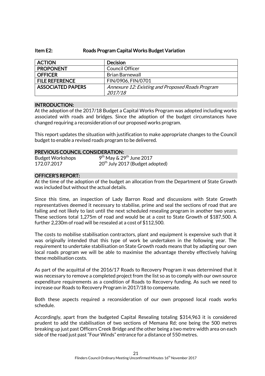#### Item E2: Roads Program Capital Works Budget Variation

| <b>ACTION</b>            | <b>Decision</b>                                  |
|--------------------------|--------------------------------------------------|
| <b>PROPONENT</b>         | Council Officer                                  |
| <b>OFFICER</b>           | <b>Brian Barnewall</b>                           |
| <b>FILE REFERENCE</b>    | FIN/0906, FIN/0701                               |
| <b>ASSOCIATED PAPERS</b> | Annexure 12: Existing and Proposed Roads Program |
|                          | 2017/18                                          |

#### INTRODUCTION:

At the adoption of the 2017/18 Budget a Capital Works Program was adopted including works associated with roads and bridges. Since the adoption of the budget circumstances have changed requiring a reconsideration of our proposed works program.

This report updates the situation with justification to make appropriate changes to the Council budget to enable a revised roads program to be delivered.

#### PREVIOUS COUNCIL CONSIDERATION:

| <b>Budget Workshops</b> | $9th$ May & 29 <sup>th</sup> June 2017      |
|-------------------------|---------------------------------------------|
| 172.07.2017             | 20 <sup>th</sup> July 2017 (Budget adopted) |

#### OFFICER'S REPORT:

At the time of the adoption of the budget an allocation from the Department of State Growth was included but without the actual details.

Since this time, an inspection of Lady Barron Road and discussions with State Growth representatives deemed it necessary to stabilise, prime and seal the sections of road that are failing and not likely to last until the next scheduled resealing program in another two years. These sections total 1,275m of road and would be at a cost to State Growth of \$187,500. A further 2,230m of road will be resealed at a cost of \$112,500.

The costs to mobilise stabilisation contractors, plant and equipment is expensive such that it was originally intended that this type of work be undertaken in the following year. The requirement to undertake stabilisation on State Growth roads means that by adapting our own local roads program we will be able to maximise the advantage thereby effectively halving these mobilisation costs.

As part of the acquittal of the 2016/17 Roads to Recovery Program it was determined that it was necessary to remove a completed project from the list so as to comply with our own source expenditure requirements as a condition of Roads to Recovery funding. As such we need to increase our Roads to Recovery Program in 2017/18 to compensate.

Both these aspects required a reconsideration of our own proposed local roads works schedule.

Accordingly, apart from the budgeted Capital Resealing totaling \$314,963 it is considered prudent to add the stabilisation of two sections of Memana Rd; one being the 500 metres breaking up just past Officers Creek Bridge and the other being a two metre width area on each side of the road just past "Four Winds" entrance for a distance of 550 metres.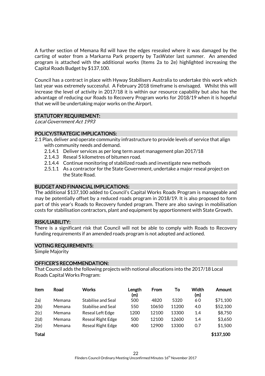A further section of Memana Rd will have the edges resealed where it was damaged by the carting of water from a Markarna Park property by TasWater last summer. An amended program is attached with the additional works (Items 2a to 2e) highlighted increasing the Capital Roads Budget by \$137,100.

Council has a contract in place with Hyway Stabilisers Australia to undertake this work which last year was extremely successful. A February 2018 timeframe is envisaged. Whilst this will increase the level of activity in 2017/18 it is within our resource capability but also has the advantage of reducing our Roads to Recovery Program works for 2018/19 when it is hopeful that we will be undertaking major works on the Airport.

#### STATUTORY REQUIREMENT:

Local Government Act 1993

#### POLICY/STRATEGIC IMPLICATIONS:

- 2.1 Plan, deliver and operate community infrastructure to provide levels of service that align with community needs and demand.
	- 2.1.4.1 Deliver services as per long term asset management plan 2017/18
	- 2.1.4.3 Reseal 5 kilometres of bitumen road.
	- 2.1.4.4 Continue monitoring of stabilized roads and investigate new methods
	- 2.5.1.1 As a contractor for the State Government, undertake a major reseal project on the State Road.

#### BUDGET AND FINANCIAL IMPLICATIONS:

The additional \$137,100 added to Council's Capital Works Roads Program is manageable and may be potentially offset by a reduced roads program in 2018/19. It is also proposed to form part of this year's Roads to Recovery funded program. There are also savings in mobilisation costs for stabilisation contractors, plant and equipment by apportionment with State Growth.

#### RISK/LIABILITY:

There is a significant risk that Council will not be able to comply with Roads to Recovery funding requirements if an amended roads program is not adopted and actioned.

#### VOTING REQUIREMENTS:

Simple Majority

#### OFFICER'S RECOMMENDATION:

That Council adds the following projects with notional allocations into the 2017/18 Local Roads Capital Works Program:

| <b>Item</b>  | Road   | <b>Works</b>             | Length<br>(m) | From  | To    | Width<br>(m) | Amount    |
|--------------|--------|--------------------------|---------------|-------|-------|--------------|-----------|
| 2a)          | Memana | Stabilise and Seal       | 500           | 4820  | 5320  | 60           | \$71,100  |
| 2(b)         | Memana | Stabilise and Seal       | 550           | 10650 | 11200 | 4.0          | \$52,100  |
| 2(c)         | Memana | Reseal Left Edge         | 1200          | 12100 | 13300 | 1.4          | \$8,750   |
| 2(d)         | Memana | Reseal Right Edge        | 500           | 12100 | 12600 | 1.4          | \$3,650   |
| 2(e)         | Memana | <b>Reseal Right Edge</b> | 400           | 12900 | 13300 | 0.7          | \$1,500   |
| <b>Total</b> |        |                          |               |       |       |              | \$137,100 |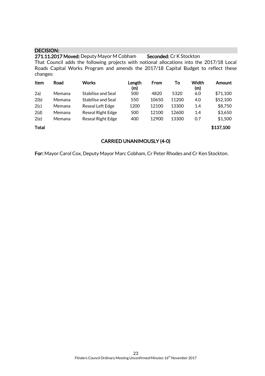#### DECISION:

271.11.2017 Moved: Deputy Mayor M Cobham Seconded: Cr K Stockton That Council adds the following projects with notional allocations into the 2017/18 Local Roads Capital Works Program and amends the 2017/18 Capital Budget to reflect these changes:

| Item         | Road   | <b>Works</b>             | Length<br>(m) | From  | То    | Width<br>(m) | Amount    |
|--------------|--------|--------------------------|---------------|-------|-------|--------------|-----------|
| 2a)          | Memana | Stabilise and Seal       | 500           | 4820  | 5320  | 6.0          | \$71,100  |
| 2(b)         | Memana | Stabilise and Seal       | 550           | 10650 | 11200 | 4.0          | \$52,100  |
| 2(c)         | Memana | Reseal Left Edge         | 1200          | 12100 | 13300 | 1.4          | \$8,750   |
| 2(d)         | Memana | <b>Reseal Right Edge</b> | 500           | 12100 | 12600 | 1.4          | \$3,650   |
| 2(e)         | Memana | <b>Reseal Right Edge</b> | 400           | 12900 | 13300 | 0.7          | \$1,500   |
| <b>Total</b> |        |                          |               |       |       |              | \$137,100 |

#### CARRIED UNANIMOUSLY (4-0)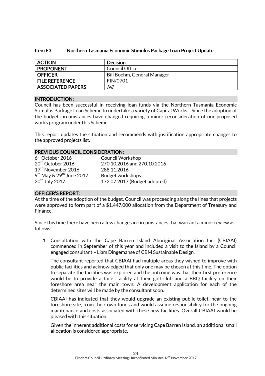| Item E3: | Northern Tasmania Economic Stimulus Package Loan Project Update |
|----------|-----------------------------------------------------------------|
|----------|-----------------------------------------------------------------|

| <b>ACTION</b>            | <b>Decision</b>             |
|--------------------------|-----------------------------|
| <b>PROPONENT</b>         | Council Officer             |
| <b>OFFICER</b>           | Bill Boehm, General Manager |
| <b>FILE REFERENCE</b>    | <b>FIN/0701</b>             |
| <b>ASSOCIATED PAPERS</b> | Nil                         |

#### INTRODUCTION:

Council has been successful in receiving loan funds via the Northern Tasmania Economic Stimulus Package Loan Scheme to undertake a variety of Capital Works. Since the adoption of the budget circumstances have changed requiring a minor reconsideration of our proposed works program under this Scheme.

This report updates the situation and recommends with justification appropriate changes to the approved projects list.

#### PREVIOUS COUNCIL CONSIDERATION:

| $6th$ October 2016                     | <b>Council Workshop</b>      |
|----------------------------------------|------------------------------|
| 20 <sup>th</sup> October 2016          | 270.10.2016 and 270.10.2016  |
| 17 <sup>th</sup> November 2016         | 288.11.2016                  |
| $9th$ May & 29 <sup>th</sup> June 2017 | <b>Budget workshops</b>      |
| 20 <sup>th</sup> July 2017             | 172.07.2017 (Budget adopted) |

#### OFFICER'S REPORT:

At the time of the adoption of the budget, Council was proceeding along the lines that projects were approved to form part of a \$1,447,000 allocation from the Department of Treasury and Finance.

Since this time there have been a few changes in circumstances that warrant a minor review as follows:

1. Consultation with the Cape Barren Island Aboriginal Association Inc. (CBIAAI) commenced in September of this year and included a visit to the Island by a Council engaged consultant – Liam Dingemanse of CBM Sustainable Design.

The consultant reported that CBIAAI had multiple areas they wished to improve with public facilities and acknowledged that only one may be chosen at this time. The option to separate the facilities was explored and the outcome was that their first preference would be to provide a toilet facility at their golf club and a BBQ facility on their foreshore area near the main town. A development application for each of the determined sites will be made by the consultant soon.

CBIAAI has indicated that they would upgrade an existing public toilet, near to the foreshore site, from their own funds and would assume responsibility for the ongoing maintenance and costs associated with these new facilities. Overall CBIAAI would be pleased with this situation.

Given the inherent additional costs for servicing Cape Barren Island, an additional small allocation is considered appropriate.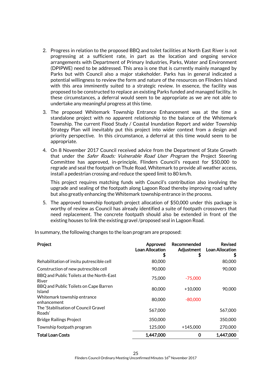- 2. Progress in relation to the proposed BBQ and toilet facilities at North East River is not progressing at a sufficient rate, in part as the location and ongoing service arrangements with Department of Primary Industries, Parks, Water and Environment (DPIPWE) need to be addressed. This area is one that is currently mainly managed by Parks but with Council also a major stakeholder. Parks has in general indicated a potential willingness to review the form and nature of the resources on Flinders Island with this area imminently suited to a strategic review. In essence, the facility was proposed to be constructed to replace an existing Parks funded and managed facility. In these circumstances, a deferral would seem to be appropriate as we are not able to undertake any meaningful progress at this time.
- 3. The proposed Whitemark Township Entrance Enhancement was at the time a standalone project with no apparent relationship to the balance of the Whitemark Township. The current Flood Study / Coastal Inundation Report and wider Township Strategy Plan will inevitably put this project into wider context from a design and priority perspective. In this circumstance, a deferral at this time would seem to be appropriate.
- 4. On 8 November 2017 Council received advice from the Department of State Growth that under the *Safer Roads: Vulnerable Road User Program* the Project Steering Committee has approved, in-principle, Flinders Council's request for \$50,000 to regrade and seal the footpath on Thule Road, Whitemark to provide all weather access, install a pedestrian crossing and reduce the speed limit to 80 km/h.

This project requires matching funds with Council's contribution also involving the upgrade and sealing of the footpath along Lagoon Road thereby improving road safety but also greatly enhancing the Whitemark township entrance in the process.

5. The approved township footpath project allocation of \$50,000 under this package is worthy of review as Council has already identified a suite of footpath crossovers that need replacement. The concrete footpath should also be extended in front of the existing houses to link the existing gravel /proposed seal in Lagoon Road.

In summary, the following changes to the loan program are proposed:

| Project                                                | Approved<br><b>Loan Allocation</b><br>\$ | Recommended<br>Adjustment<br>\$ | <b>Revised</b><br><b>Loan Allocation</b><br>ን |
|--------------------------------------------------------|------------------------------------------|---------------------------------|-----------------------------------------------|
| Rehabilitation of insitu putrescible cell              | 80,000                                   |                                 | 80,000                                        |
| Construction of new putrescible cell                   | 90,000                                   |                                 | 90,000                                        |
| BBQ and Public Toilets at the North-East<br>River      | 75,000                                   | $-75,000$                       |                                               |
| BBQ and Public Toilets on Cape Barren<br><b>Island</b> | 80,000                                   | $+10,000$                       | 90,000                                        |
| Whitemark township entrance<br>enhancement             | 80,000                                   | -80.000                         |                                               |
| The 'Stabilisation of Council Gravel<br>Roads'         | 567.000                                  |                                 | 567,000                                       |
| <b>Bridge Railings Project</b>                         | 350,000                                  |                                 | 350,000                                       |
| Township footpath program                              | 125,000                                  | $+145,000$                      | 270,000                                       |
| Total Loan Costs                                       | 1,447,000                                | 0                               | 1,447,000                                     |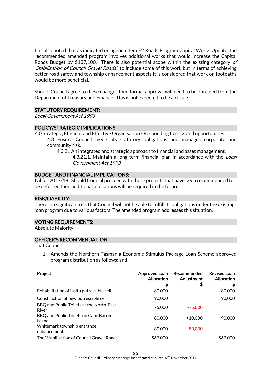It is also noted that as indicated on agenda item E2 Roads Program Capital Works Update, the recommended amended program involves additional works that would increase the Capital Roads Budget by \$137,100. There is also potential scope within the existing category of 'Stabilisation of Council Gravel Roads' to include some of this work but in terms of achieving better road safety and township enhancement aspects it is considered that work on footpaths would be more beneficial.

Should Council agree to these changes then formal approval will need to be obtained from the Department of Treasury and Finance. This is not expected to be an issue.

#### STATUTORY REQUIREMENT:

Local Government Act 1993

#### POLICY/STRATEGIC IMPLICATIONS:

- 4.0 Strategic, Efficient and Effective Organisation Responding to risks and opportunities. 4.3 Ensure Council meets its statutory obligations and manages corporate and community risk.
	- 4.3.21 An integrated and strategic approach to financial and asset management. 4.3.21.1. Maintain a long-term financial plan in accordance with the Local Government Act 1993.

#### BUDGET AND FINANCIAL IMPLICATIONS:

Nil for 2017/18. Should Council proceed with those projects that have been recommended to be deferred then additional allocations will be required in the future.

#### RISK/LIABILITY:

There is a significant risk that Council will not be able to fulfill its obligations under the existing loan program due to various factors. The amended program addresses this situation.

#### VOTING REQUIREMENTS:

Absolute Majority

#### OFFICER'S RECOMMENDATION:

That Council

1. Amends the Northern Tasmania Economic Stimulus Package Loan Scheme approved program distribution as follows; and

| Project                                           | Approved Loan<br><b>Allocation</b><br>\$ | Recommended<br>Adjustment<br>\$ | <b>Revised Loan</b><br><b>Allocation</b><br>S |
|---------------------------------------------------|------------------------------------------|---------------------------------|-----------------------------------------------|
| Rehabilitation of insitu putrescible cell         | 80,000                                   |                                 | 80,000                                        |
| Construction of new putrescible cell              | 90,000                                   |                                 | 90,000                                        |
| BBQ and Public Toilets at the North-East<br>River | 75,000                                   | $-75,000$                       |                                               |
| BBQ and Public Toilets on Cape Barren<br>Island   | 80,000                                   | $+10,000$                       | 90,000                                        |
| Whitemark township entrance<br>enhancement        | 80,000                                   | $-80,000$                       |                                               |
| The 'Stabilisation of Council Gravel Roads'       | 567,000                                  |                                 | 567,000                                       |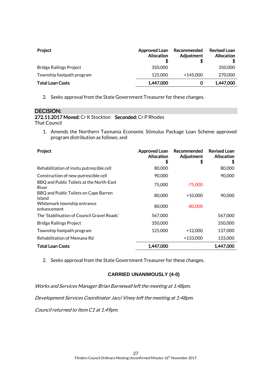| Project                        | Approved Loan<br><b>Allocation</b> | Recommended<br>Adjustment | <b>Revised Loan</b><br>Allocation |
|--------------------------------|------------------------------------|---------------------------|-----------------------------------|
| <b>Bridge Railings Project</b> | 350,000                            |                           | 350,000                           |
| Township footpath program      | 125,000                            | $+145,000$                | 270,000                           |
| <b>Total Loan Costs</b>        | 1,447,000                          | 0                         | 1,447,000                         |

2. Seeks approval from the State Government Treasurer for these changes.

## DECISION:

#### 272.11.2017 Moved: Cr K Stockton Seconded: Cr P Rhodes That Council

1. Amends the Northern Tasmania Economic Stimulus Package Loan Scheme approved program distribution as follows; and

| Project                                           | Approved Loan<br><b>Allocation</b><br>S | Recommended<br>Adjustment<br>S | <b>Revised Loan</b><br>Allocation<br>\$ |
|---------------------------------------------------|-----------------------------------------|--------------------------------|-----------------------------------------|
| Rehabilitation of insitu putrescible cell         | 80,000                                  |                                | 80,000                                  |
| Construction of new putrescible cell              | 90,000                                  |                                | 90,000                                  |
| BBQ and Public Toilets at the North-East<br>River | 75,000                                  | $-75,000$                      |                                         |
| BBQ and Public Toilets on Cape Barren<br>Island   | 80,000                                  | $+10,000$                      | 90,000                                  |
| Whitemark township entrance<br>enhancement        | 80,000                                  | $-80,000$                      |                                         |
| The 'Stabilisation of Council Gravel Roads'       | 567,000                                 |                                | 567,000                                 |
| Bridge Railings Project                           | 350,000                                 |                                | 350,000                                 |
| Township footpath program                         | 125,000                                 | $+12,000$                      | 137,000                                 |
| Rehabilitation of Memana Rd                       |                                         | +133,000                       | 133,000                                 |
| <b>Total Loan Costs</b>                           | 1,447,000                               |                                | 1,447,000                               |

2. Seeks approval from the State Government Treasurer for these changes.

## **CARRIED UNANIMOUSLY (4-0)**

Works and Services Manager Brian Barnewall left the meeting at 1:48pm.

Development Services Coordinator Jacci Viney left the meeting at 1:48pm.

Council returned to Item C1 at 1.49pm.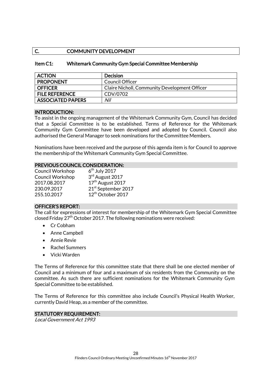## C. COMMUNITY DEVELOPMENT

#### Item C1: Whitemark Community Gym Special Committee Membership

| <b>ACTION</b>            | <b>Decision</b>                               |
|--------------------------|-----------------------------------------------|
| <b>PROPONENT</b>         | Council Officer                               |
| <b>OFFICER</b>           | Claire Nicholl, Community Development Officer |
| <b>FILE REFERENCE</b>    | CDV/0702                                      |
| <b>ASSOCIATED PAPERS</b> | Nil                                           |

#### INTRODUCTION:

To assist in the ongoing management of the Whitemark Community Gym, Council has decided that a Special Committee is to be established. Terms of Reference for the Whitemark Community Gym Committee have been developed and adopted by Council. Council also authorised the General Manager to seek nominations for the Committee Members.

Nominations have been received and the purpose of this agenda item is for Council to approve the membership of the Whitemark Community Gym Special Committee.

#### PREVIOUS COUNCIL CONSIDERATION:

| <b>Council Workshop</b> | $6th$ July 2017                 |
|-------------------------|---------------------------------|
| <b>Council Workshop</b> | 3rd August 2017                 |
| 2017.08.2017            | 17 <sup>th</sup> August 2017    |
| 230.09.2017             | 21 <sup>st</sup> September 2017 |
| 255.10.2017             | 12 <sup>th</sup> October 2017   |

#### OFFICER'S REPORT:

The call for expressions of interest for membership of the Whitemark Gym Special Committee closed Friday  $27<sup>th</sup>$  October 2017. The following nominations were received:

- Cr Cobham
- Anne Campbell
- Annie Revie
- Rachel Summers
- Vicki Warden

The Terms of Reference for this committee state that there shall be one elected member of Council and a minimum of four and a maximum of six residents from the Community on the committee. As such there are sufficient nominations for the Whitemark Community Gym Special Committee to be established.

The Terms of Reference for this committee also include Council's Physical Health Worker, currently David Heap, as a member of the committee.

#### STATUTORY REQUIREMENT:

Local Government Act 1993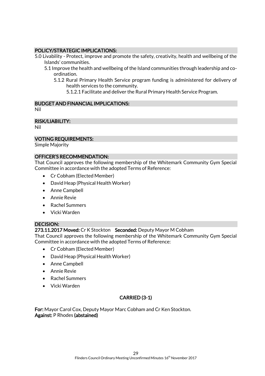## POLICY/STRATEGIC IMPLICATIONS:

- 5.0 Livability Protect, improve and promote the safety, creativity, health and wellbeing of the Islands' communities.
	- 5.1 Improve the health and wellbeing of the Island communities through leadership and coordination.
		- 5.1.2 Rural Primary Health Service program funding is administered for delivery of health services to the community.
			- 5.1.2.1 Facilitate and deliver the Rural Primary Health Service Program.

## BUDGET AND FINANCIAL IMPLICATIONS:

Nil

#### RISK/LIABILITY:

Nil

#### VOTING REQUIREMENTS:

Simple Majority

#### OFFICER'S RECOMMENDATION:

That Council approves the following membership of the Whitemark Community Gym Special Committee in accordance with the adopted Terms of Reference:

- Cr Cobham (Elected Member)
- David Heap (Physical Health Worker)
- Anne Campbell
- Annie Revie
- Rachel Summers
- Vicki Warden

#### DECISION:

#### 273.11.2017 Moved: Cr K Stockton Seconded: Deputy Mayor M Cobham

That Council approves the following membership of the Whitemark Community Gym Special Committee in accordance with the adopted Terms of Reference:

- Cr Cobham (Elected Member)
- David Heap (Physical Health Worker)
- Anne Campbell
- Annie Revie
- Rachel Summers
- Vicki Warden

## CARRIED (3-1)

For: Mayor Carol Cox, Deputy Mayor Marc Cobham and Cr Ken Stockton. Against: P Rhodes (abstained)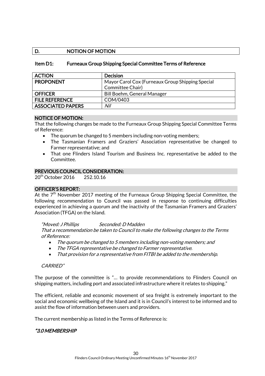## D. NOTION OF MOTION

#### Item D1: Furneaux Group Shipping Special Committee Terms of Reference

| <b>ACTION</b>            | <b>Decision</b>                                  |
|--------------------------|--------------------------------------------------|
| <b>PROPONENT</b>         | Mayor Carol Cox (Furneaux Group Shipping Special |
|                          | Committee Chair)                                 |
| <b>OFFICER</b>           | Bill Boehm, General Manager                      |
| <b>FILE REFERENCE</b>    | COM/0403                                         |
| <b>ASSOCIATED PAPERS</b> | Nil                                              |

#### NOTICE OF MOTION:

That the following changes be made to the Furneaux Group Shipping Special Committee Terms of Reference:

- The quorum be changed to 5 members including non-voting members;
- The Tasmanian Framers and Graziers' Association representative be changed to Farmer representative; and
- That one Flinders Island Tourism and Business Inc. representative be added to the Committee.

#### PREVIOUS COUNCIL CONSIDERATION:

20<sup>th</sup> October 2016 252.10.16

#### OFFICER'S REPORT:

At the  $7<sup>th</sup>$  November 2017 meeting of the Furneaux Group Shipping Special Committee, the following recommendation to Council was passed in response to continuing difficulties experienced in achieving a quorum and the inactivity of the Tasmanian Framers and Graziers' Association (TFGA) on the Island.

#### "Moved: J Phillips Seconded: D Madden

That a recommendation be taken to Council to make the following changes to the Terms of Reference:

- The quorum be changed to 5 members including non-voting members; and
- The TFGA representative be changed to Farmer representative.
- That provision for a representative from FITBI be added to the membership.

#### CARRIED"

The purpose of the committee is "… to provide recommendations to Flinders Council on shipping matters, including port and associated infrastructure where it relates to shipping."

The efficient, reliable and economic movement of sea freight is extremely important to the social and economic wellbeing of the Island and it is in Council's interest to be informed and to assist the flow of information between users and providers.

The current membership as listed in the Terms of Reference is:

## "3.0 MEMBERSHIP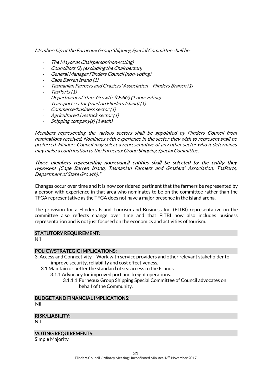Membership of the Furneaux Group Shipping Special Committee shall be:

- The Mayor as Chairperson(non-voting)
- Councillors (2) (excluding the Chairperson)
- General Manager Flinders Council (non-voting)
- Cape Barren Island (1)
- Tasmanian Farmers and Graziers' Association Flinders Branch (1)
- TasPorts (1)
- Department of State Growth (DoSG) (1 non-voting)
- Transport sector (road on Flinders Island) (1)
- Commerce/business sector (1)
- Agriculture/Livestock sector (1)
- Shipping company(s) (1 each)

Members representing the various sectors shall be appointed by Flinders Council from nominations received. Nominees with experience in the sector they wish to represent shall be preferred. Flinders Council may select a representative of any other sector who it determines may make a contribution to the Furneaux Group Shipping Special Committee.

Those members representing non-council entities shall be selected by the entity they represent (Cape Barren Island, Tasmanian Farmers and Graziers' Association, TasPorts, Department of State Growth)."

Changes occur over time and it is now considered pertinent that the farmers be represented by a person with experience in that area who nominates to be on the committee rather than the TFGA representative as the TFGA does not have a major presence in the island arena.

The provision for a Flinders Island Tourism and Business Inc. (FITBI) representative on the committee also reflects change over time and that FITBI now also includes business representation and is not just focused on the economics and activities of tourism.

#### STATUTORY REQUIREMENT:

Nil

#### POLICY/STRATEGIC IMPLICATIONS:

- 3. Access and Connectivity Work with service providers and other relevant stakeholder to improve security, reliability and cost effectiveness.
	- 3.1 Maintain or better the standard of sea access to the Islands.
		- 3.1.1 Advocacy for improved port and freight operations.
			- 3.1.1.1 Furneaux Group Shipping Special Committee of Council advocates on behalf of the Community.

## BUDGET AND FINANCIAL IMPLICATIONS:

Nil

#### RISK/LIABILITY:

Nil

#### VOTING REQUIREMENTS:

Simple Majority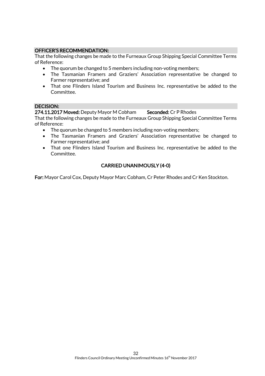## OFFICER'S RECOMMENDATION:

That the following changes be made to the Furneaux Group Shipping Special Committee Terms of Reference:

- The quorum be changed to 5 members including non-voting members;
- The Tasmanian Framers and Graziers' Association representative be changed to Farmer representative; and
- That one Flinders Island Tourism and Business Inc. representative be added to the Committee.

#### DECISION:

#### 274.11.2017 Moved: Deputy Mayor M Cobham Seconded: Cr P Rhodes

That the following changes be made to the Furneaux Group Shipping Special Committee Terms of Reference:

- The quorum be changed to 5 members including non-voting members;
- The Tasmanian Framers and Graziers' Association representative be changed to Farmer representative; and
- That one Flinders Island Tourism and Business Inc. representative be added to the Committee.

## CARRIED UNANIMOUSLY (4-0)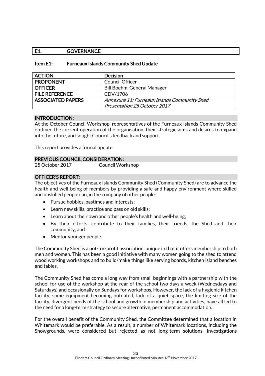## E1. GOVERNANCE

#### Item E1: Furneaux Islands Community Shed Update

| <b>ACTION</b>            | <b>Decision</b>                              |
|--------------------------|----------------------------------------------|
| <b>PROPONENT</b>         | <b>Council Officer</b>                       |
| <b>OFFICER</b>           | <b>Bill Boehm, General Manager</b>           |
| <b>FILE REFERENCE</b>    | CDV/1706                                     |
| <b>ASSOCIATED PAPERS</b> | Annexure 11: Furneaux Islands Community Shed |
|                          | Presentation 25 October 2017                 |

#### INTRODUCTION:

At the October Council Workshop, representatives of the Furneaux Islands Community Shed outlined the current operation of the organisation, their strategic aims and desires to expand into the future, and sought Council's feedback and support.

This report provides a formal update.

#### PREVIOUS COUNCIL CONSIDERATION:

#### OFFICER'S REPORT:

The objectives of the Furneaux Islands Community Shed (Community Shed) are to advance the health and well-being of members by providing a safe and happy environment where skilled and unskilled people can, in the company of other people:

- Pursue hobbies, pastimes and interests;
- Learn new skills, practice and pass on old skills;
- Learn about their own and other people's health and well-being;
- By their efforts, contribute to their families, their friends, the Shed and their community; and
- Mentor younger people.

The Community Shed is a not-for-profit association, unique in that it offers membership to both men and women. This has been a good initiative with many women going to the shed to attend wood working workshops and to build/make things like serving boards, kitchen island benches and tables.

The Community Shed has come a long way from small beginnings with a partnership with the school for use of the workshop at the rear of the school two days a week (Wednesdays and Saturdays) and occasionally on Sundays for workshops. However, the lack of a hygienic kitchen facility, some equipment becoming outdated, lack of a quiet space, the limiting size of the facility, divergent needs of the school and growth in membership and activities, have all led to the need for a long-term strategy to secure alternative, permanent accommodation.

For the overall benefit of the Community Shed, the Committee determined that a location in Whitemark would be preferable. As a result, a number of Whitemark locations, including the Showgrounds, were considered but rejected as not long-term solutions. Investigations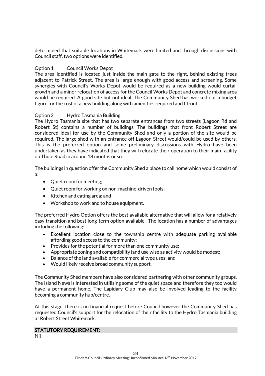determined that suitable locations in Whitemark were limited and through discussions with Council staff, two options were identified.

#### Option 1 Council Works Depot

The area identified is located just inside the main gate to the right, behind existing trees adjacent to Patrick Street. The area is large enough with good access and screening. Some synergies with Council's Works Depot would be required as a new building would curtail growth and a minor relocation of access for the Council Works Depot and concrete mixing area would be required. A good site but not ideal. The Community Shed has worked out a budget figure for the cost of a new building along with amenities required and fit-out.

#### Option 2 Hydro Tasmania Building

The Hydro Tasmania site that has two separate entrances from two streets (Lagoon Rd and Robert St) contains a number of buildings. The buildings that front Robert Street are considered ideal for use by the Community Shed and only a portion of the site would be required. The large shed with an entrance off Lagoon Street would/could be used by others. This is the preferred option and some preliminary discussions with Hydro have been undertaken as they have indicated that they will relocate their operation to their main facility on Thule Road in around 18 months or so.

The buildings in question offer the Community Shed a place to call home which would consist of a:

- Quiet room for meeting;
- Quiet room for working on non-machine-driven tools;
- Kitchen and eating area; and
- Workshop to work and to house equipment.

The preferred Hydro Option offers the best available alternative that will allow for a relatively easy transition and best long-term option available. The location has a number of advantages including the following:

- Excellent location close to the township centre with adequate parking available affording good access to the community;
- Provides for the potential for more than one community use;
- Appropriate zoning and compatibility land use wise as activity would be modest;
- Balance of the land available for commercial type uses; and
- Would likely receive broad community support.

The Community Shed members have also considered partnering with other community groups. The Island News is interested in utilising some of the quiet space and therefore they too would have a permanent home. The Lapidary Club may also be involved leading to the facility becoming a community hub/centre.

At this stage, there is no financial request before Council however the Community Shed has requested Council's support for the relocation of their facility to the Hydro Tasmania building at Robert Street Whitemark.

#### STATUTORY REQUIREMENT:

Nil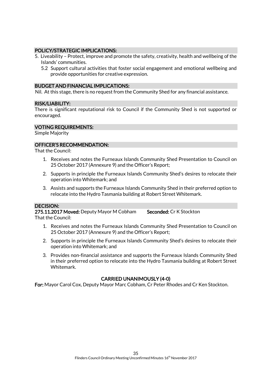#### POLICY/STRATEGIC IMPLICATIONS:

- 5. Liveability Protect, improve and promote the safety, creativity, health and wellbeing of the Islands' communities.
	- 5.2 Support cultural activities that foster social engagement and emotional wellbeing and provide opportunities for creative expression.

#### BUDGET AND FINANCIAL IMPLICATIONS:

Nil. At this stage, there is no request from the Community Shed for any financial assistance.

#### RISK/LIABILITY:

There is significant reputational risk to Council if the Community Shed is not supported or encouraged.

#### VOTING REQUIREMENTS:

Simple Majority

#### OFFICER'S RECOMMENDATION:

That the Council:

- 1. Receives and notes the Furneaux Islands Community Shed Presentation to Council on 25 October 2017 (Annexure 9) and the Officer's Report;
- 2. Supports in principle the Furneaux Islands Community Shed's desires to relocate their operation into Whitemark; and
- 3. Assists and supports the Furneaux Islands Community Shed in their preferred option to relocate into the Hydro Tasmania building at Robert Street Whitemark.

#### DECISION:

275.11.2017 Moved: Deputy Mayor M Cobham Seconded: Cr K Stockton That the Council:

- 1. Receives and notes the Furneaux Islands Community Shed Presentation to Council on 25 October 2017 (Annexure 9) and the Officer's Report;
- 2. Supports in principle the Furneaux Islands Community Shed's desires to relocate their operation into Whitemark; and
- 3. Provides non-financial assistance and supports the Furneaux Islands Community Shed in their preferred option to relocate into the Hydro Tasmania building at Robert Street Whitemark.

#### CARRIED UNANIMOUSLY (4-0)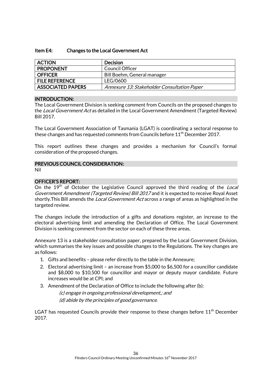#### Item E4: Changes to the Local Government Act

| <b>ACTION</b>            | <b>Decision</b>                             |
|--------------------------|---------------------------------------------|
| <b>PROPONENT</b>         | Council Officer                             |
| <b>OFFICER</b>           | Bill Boehm, General manager                 |
| <b>FILE REFERENCE</b>    | LEG/0600                                    |
| <b>ASSOCIATED PAPERS</b> | Annexure 13: Stakeholder Consultation Paper |

#### INTRODUCTION:

The Local Government Division is seeking comment from Councils on the proposed changes to the Local Government Act as detailed in the Local Government Amendment (Targeted Review) Bill 2017.

The Local Government Association of Tasmania (LGAT) is coordinating a sectoral response to these changes and has requested comments from Councils before 11<sup>th</sup> December 2017.

This report outlines these changes and provides a mechanism for Council's formal consideration of the proposed changes.

#### PREVIOUS COUNCIL CONSIDERATION:

Nil

#### OFFICER'S REPORT:

On the 19<sup>th</sup> of October the Legislative Council approved the third reading of the Local Government Amendment (Targeted Review) Bill 2017 and it is expected to receive Royal Asset shortly. This Bill amends the *Local Government Act* across a range of areas as highlighted in the targeted review.

The changes include the introduction of a gifts and donations register, an increase to the electoral advertising limit and amending the Declaration of Office. The Local Government Division is seeking comment from the sector on each of these three areas.

Annexure 13 is a stakeholder consultation paper, prepared by the Local Government Division, which summarises the key issues and possible changes to the Regulations. The key changes are as follows:

- 1. Gifts and benefits please refer directly to the table in the Annexure;
- 2. Electoral advertising limit an increase from \$5,000 to \$6,500 for a councillor candidate and \$8,000 to \$10,500 for councillor and mayor or deputy mayor candidate. Future increases would be at CPI; and
- 3. Amendment of the Declaration of Office to include the following after (b):

(c) engage in ongoing professional development,; and (d) abide by the principles of good governance.

LGAT has requested Councils provide their response to these changes before 11<sup>th</sup> December 2017.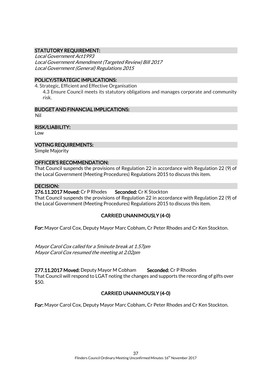## STATUTORY REQUIREMENT:

Local Government Act1993 Local Government Amendment (Targeted Review) Bill 2017 Local Government (General) Regulations 2015

#### POLICY/STRATEGIC IMPLICATIONS:

4. Strategic, Efficient and Effective Organisation 4.3 Ensure Council meets its statutory obligations and manages corporate and community risk.

#### BUDGET AND FINANCIAL IMPLICATIONS:

Nil

#### RISK/LIABILITY:

Low

#### VOTING REQUIREMENTS:

Simple Majority

#### OFFICER'S RECOMMENDATION:

That Council suspends the provisions of Regulation 22 in accordance with Regulation 22 (9) of the Local Government (Meeting Procedures) Regulations 2015 to discuss this item.

#### DECISION:

#### 276.11.2017 Moved: Cr P Rhodes Seconded: Cr K Stockton

That Council suspends the provisions of Regulation 22 in accordance with Regulation 22 (9) of the Local Government (Meeting Procedures) Regulations 2015 to discuss this item.

## CARRIED UNANIMOUSLY (4-0)

For: Mayor Carol Cox, Deputy Mayor Marc Cobham, Cr Peter Rhodes and Cr Ken Stockton.

Mayor Carol Cox called for a 5minute break at 1.57pm Mayor Carol Cox resumed the meeting at 2.02pm

277.11.2017 Moved: Deputy Mayor M Cobham Seconded: Cr P Rhodes That Council will respond to LGAT noting the changes and supports the recording of gifts over \$50.

## CARRIED UNANIMOUSLY (4-0)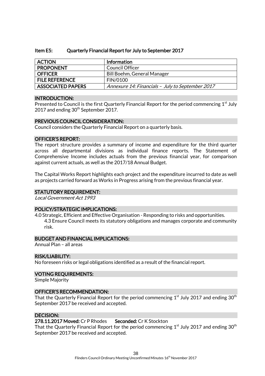#### Item E5: Quarterly Financial Report for July to September 2017

| <b>ACTION</b>            | <b>Information</b>                               |
|--------------------------|--------------------------------------------------|
| <b>PROPONENT</b>         | Council Officer                                  |
| <b>OFFICER</b>           | Bill Boehm, General Manager                      |
| <b>FILE REFERENCE</b>    | <b>FIN/0100</b>                                  |
| <b>ASSOCIATED PAPERS</b> | Annexure 14: Financials - July to September 2017 |

#### INTRODUCTION:

Presented to Council is the first Quarterly Financial Report for the period commencing 1<sup>st</sup> July 2017 and ending 30<sup>th</sup> September 2017.

#### PREVIOUS COUNCIL CONSIDERATION:

Council considers the Quarterly Financial Report on a quarterly basis.

#### OFFICER'S REPORT:

The report structure provides a summary of income and expenditure for the third quarter across all departmental divisions as individual finance reports. The Statement of Comprehensive Income includes actuals from the previous financial year, for comparison against current actuals, as well as the 2017/18 Annual Budget.

The Capital Works Report highlights each project and the expenditure incurred to date as well as projects carried forward as Works in Progress arising from the previous financial year.

#### STATUTORY REQUIREMENT:

Local Government Act 1993

#### POLICY/STRATEGIC IMPLICATIONS:

4.0 Strategic, Efficient and Effective Organisation - Responding to risks and opportunities. 4.3 Ensure Council meets its statutory obligations and manages corporate and community risk.

#### BUDGET AND FINANCIAL IMPLICATIONS:

Annual Plan – all areas

#### RISK/LIABILITY:

No foreseen risks or legal obligations identified as a result of the financial report.

#### VOTING REQUIREMENTS:

Simple Majority

#### OFFICER'S RECOMMENDATION:

That the Quarterly Financial Report for the period commencing  $1^{\rm st}$  July 2017 and ending 30 $^{\rm th}$ September 2017 be received and accepted.

#### DECISION:

#### 278.11.2017 Moved: Cr P Rhodes Seconded: Cr K Stockton

That the Quarterly Financial Report for the period commencing  $1<sup>st</sup>$  July 2017 and ending 30<sup>th</sup> September 2017 be received and accepted.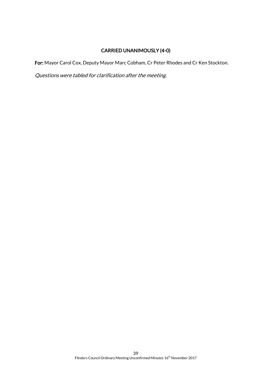## CARRIED UNANIMOUSLY (4-0)

For: Mayor Carol Cox, Deputy Mayor Marc Cobham, Cr Peter Rhodes and Cr Ken Stockton.

Questions were tabled for clarification after the meeting.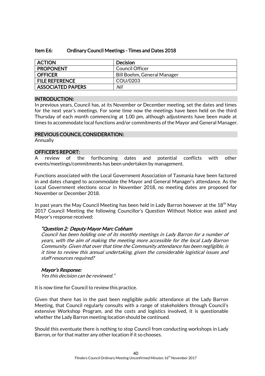#### Item E6: Ordinary Council Meetings - Times and Dates 2018

| <b>ACTION</b>            | Decision                    |
|--------------------------|-----------------------------|
| <b>PROPONENT</b>         | Council Officer             |
| <b>OFFICER</b>           | Bill Boehm, General Manager |
| <b>FILE REFERENCE</b>    | COU/0203                    |
| <b>ASSOCIATED PAPERS</b> | Nil                         |

#### INTRODUCTION:

In previous years, Council has, at its November or December meeting, set the dates and times for the next year's meetings. For some time now the meetings have been held on the third Thursday of each month commencing at 1.00 pm, although adjustments have been made at times to accommodate local functions and/or commitments of the Mayor and General Manager.

#### PREVIOUS COUNCIL CONSIDERATION:

Annually

#### OFFICER'S REPORT:

A review of the forthcoming dates and potential conflicts with other events/meetings/commitments has been undertaken by management.

Functions associated with the Local Government Association of Tasmania have been factored in and dates changed to accommodate the Mayor and General Manager's attendance. As the Local Government elections occur in November 2018, no meeting dates are proposed for November or December 2018.

In past years the May Council Meeting has been held in Lady Barron however at the  $18<sup>th</sup>$  May 2017 Council Meeting the following Councillor's Question Without Notice was asked and Mayor's response received:

## "Question 2: Deputy Mayor Marc Cobham

Council has been holding one of its monthly meetings in Lady Barron for a number of years, with the aim of making the meeting more accessible for the local Lady Barron Community. Given that over that time the Community attendance has been negligible, is it time to review this annual undertaking, given the considerable logistical issues and staff resources required?

## Mayor's Response:

Yes this decision can be reviewed."

It is now time for Council to review this practice.

Given that there has in the past been negligible public attendance at the Lady Barron Meeting, that Council regularly consults with a range of stakeholders through Council's extensive Workshop Program, and the costs and logistics involved, it is questionable whether the Lady Barron meeting location should be continued.

Should this eventuate there is nothing to stop Council from conducting workshops in Lady Barron, or for that matter any other location if it so chooses.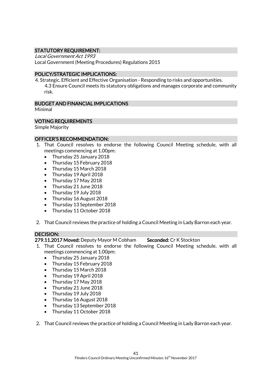## STATUTORY REQUIREMENT:

Local Government Act 1993 Local Government (Meeting Procedures) Regulations 2015

#### POLICY/STRATEGIC IMPLICATIONS:

4. Strategic, Efficient and Effective Organisation - Responding to risks and opportunities. 4.3 Ensure Council meets its statutory obligations and manages corporate and community risk.

#### BUDGET AND FINANCIAL IMPLICATIONS

Minimal

#### VOTING REQUIREMENTS

Simple Majority

#### OFFICER'S RECOMMENDATION:

- 1. That Council resolves to endorse the following Council Meeting schedule, with all meetings commencing at 1.00pm:
	- Thursday 25 January 2018
	- Thursday 15 February 2018
	- Thursday 15 March 2018
	- Thursday 19 April 2018
	- Thursday 17 May 2018
	- Thursday 21 June 2018
	- Thursday 19 July 2018
	- Thursday 16 August 2018
	- Thursday 13 September 2018
	- Thursday 11 October 2018
- 2. That Council reviews the practice of holding a Council Meeting in Lady Barron each year.

## DECISION:

279.11.2017 Moved: Deputy Mayor M Cobham Seconded: Cr K Stockton

- 1. That Council resolves to endorse the following Council Meeting schedule, with all meetings commencing at 1.00pm:
	- Thursday 25 January 2018
	- Thursday 15 February 2018
	- Thursday 15 March 2018
	- Thursday 19 April 2018
	- Thursday 17 May 2018
	- Thursday 21 June 2018
	- Thursday 19 July 2018
	- Thursday 16 August 2018
	- Thursday 13 September 2018
	- Thursday 11 October 2018
- 2. That Council reviews the practice of holding a Council Meeting in Lady Barron each year.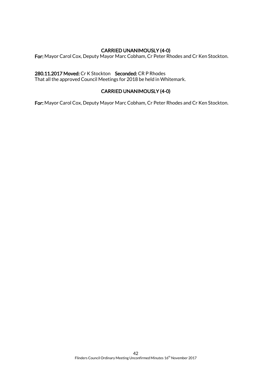## CARRIED UNANIMOUSLY (4-0)

For: Mayor Carol Cox, Deputy Mayor Marc Cobham, Cr Peter Rhodes and Cr Ken Stockton.

#### 280.11.2017 Moved: Cr K Stockton Seconded: CR P Rhodes

That all the approved Council Meetings for 2018 be held in Whitemark.

## CARRIED UNANIMOUSLY (4-0)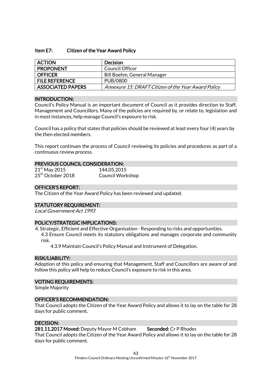#### Item E7: Citizen of the Year Award Policy

| <b>ACTION</b>            | <b>Decision</b>                                     |
|--------------------------|-----------------------------------------------------|
| <b>PROPONENT</b>         | Council Officer                                     |
| <b>OFFICER</b>           | Bill Boehm, General Manager                         |
| <b>FILE REFERENCE</b>    | PUB/0800                                            |
| <b>ASSOCIATED PAPERS</b> | Annexure 15: DRAFT Citizen of the Year Award Policy |

#### INTRODUCTION:

Council's Policy Manual is an important document of Council as it provides direction to Staff, Management and Councillors. Many of the policies are required by, or relate to, legislation and in most instances, help manage Council's exposure to risk.

Council has a policy that states that policies should be reviewed at least every four (4) years by the then elected members.

This report continues the process of Council reviewing its policies and procedures as part of a continuous review process.

#### PREVIOUS COUNCIL CONSIDERATION:

| $21st$ May 2015               | 144.05.2015             |
|-------------------------------|-------------------------|
| 25 <sup>th</sup> October 2018 | <b>Council Workshop</b> |

#### OFFICER'S REPORT:

The Citizen of the Year Award Policy has been reviewed and updated.

#### STATUTORY REQUIREMENT:

Local Government Act 1993

#### POLICY/STRATEGIC IMPLICATIONS:

4. Strategic, Efficient and Effective Organisation - Responding to risks and opportunities.

4.3 Ensure Council meets its statutory obligations and manages corporate and community risk.

4.3.9 Maintain Council's Policy Manual and Instrument of Delegation.

#### RISK/LIABILITY:

Adoption of this policy and ensuring that Management, Staff and Councillors are aware of and follow this policy will help to reduce Council's exposure to risk in this area.

#### VOTING REQUIREMENTS:

Simple Majority

#### OFFICER'S RECOMMENDATION:

That Council adopts the Citizen of the Year Award Policy and allows it to lay on the table for 28 days for public comment.

#### DECISION:

281.11.2017 Moved: Deputy Mayor M Cobham Seconded: Cr P Rhodes

That Council adopts the Citizen of the Year Award Policy and allows it to lay on the table for 28 days for public comment.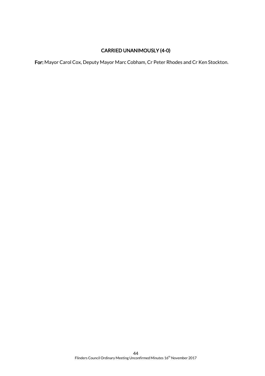## CARRIED UNANIMOUSLY (4-0)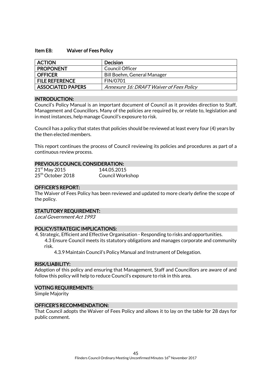#### Item E8: Waiver of Fees Policy

| <b>ACTION</b>            | <b>Decision</b>                          |
|--------------------------|------------------------------------------|
| <b>PROPONENT</b>         | Council Officer                          |
| <b>OFFICER</b>           | Bill Boehm, General Manager              |
| <b>FILE REFERENCE</b>    | <b>FIN/0701</b>                          |
| <b>ASSOCIATED PAPERS</b> | Annexure 16: DRAFT Waiver of Fees Policy |

#### INTRODUCTION:

Council's Policy Manual is an important document of Council as it provides direction to Staff, Management and Councillors. Many of the policies are required by, or relate to, legislation and in most instances, help manage Council's exposure to risk.

Council has a policy that states that policies should be reviewed at least every four (4) years by the then elected members.

This report continues the process of Council reviewing its policies and procedures as part of a continuous review process.

#### PREVIOUS COUNCIL CONSIDERATION:

| $21st$ May 2015               | 144.05.2015             |
|-------------------------------|-------------------------|
| 25 <sup>th</sup> October 2018 | <b>Council Workshop</b> |

#### OFFICER'S REPORT:

The Waiver of Fees Policy has been reviewed and updated to more clearly define the scope of the policy.

#### STATUTORY REQUIREMENT:

Local Government Act 1993

#### POLICY/STRATEGIC IMPLICATIONS:

4. Strategic, Efficient and Effective Organisation - Responding to risks and opportunities.

4.3 Ensure Council meets its statutory obligations and manages corporate and community risk.

4.3.9 Maintain Council's Policy Manual and Instrument of Delegation.

#### RISK/LIABILITY:

Adoption of this policy and ensuring that Management, Staff and Councillors are aware of and follow this policy will help to reduce Council's exposure to risk in this area.

#### VOTING REQUIREMENTS:

Simple Majority

#### OFFICER'S RECOMMENDATION:

That Council adopts the Waiver of Fees Policy and allows it to lay on the table for 28 days for public comment.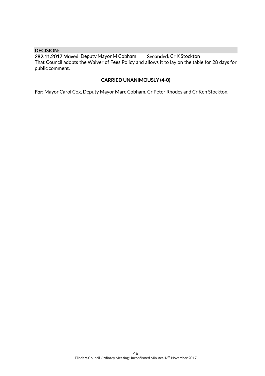#### DECISION:

282.11.2017 Moved: Deputy Mayor M Cobham Seconded: Cr K Stockton That Council adopts the Waiver of Fees Policy and allows it to lay on the table for 28 days for public comment.

## CARRIED UNANIMOUSLY (4-0)